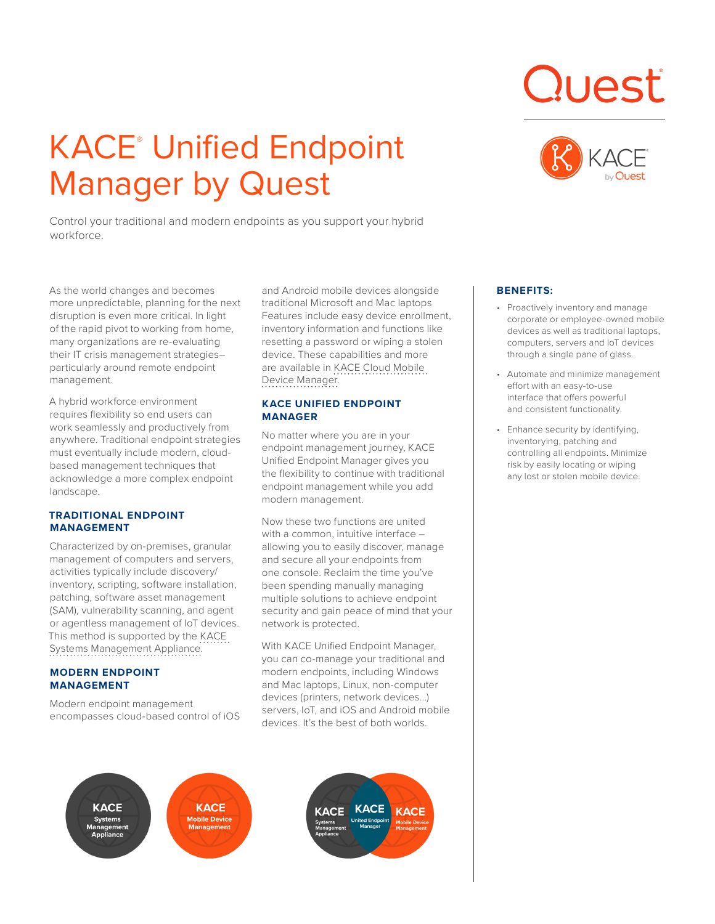# **KACE® Unified Endpoint** Manager by Quest

Control your traditional and modern endpoints as you support your hybrid workforce.

As the world changes and becomes more unpredictable, planning for the next disruption is even more critical. In light of the rapid pivot to working from home, many organizations are re-evaluating their IT crisis management strategies– particularly around remote endpoint management.

A hybrid workforce environment requires flexibility so end users can work seamlessly and productively from anywhere. Traditional endpoint strategies must eventually include modern, cloudbased management techniques that acknowledge a more complex endpoint landscape.

## **TRADITIONAL ENDPOINT MANAGEMENT**

Characterized by on-premises, granular management of computers and servers, activities typically include discovery/ inventory, scripting, software installation, patching, software asset management (SAM), vulnerability scanning, and agent or agentless management of IoT devices. This method is supported by the KACE Systems Management Appliance.

# **MODERN ENDPOINT MANAGEMENT**

Modern endpoint management encompasses cloud-based control of iOS and Android mobile devices alongside traditional Microsoft and Mac laptops Features include easy device enrollment, inventory information and functions like resetting a password or wiping a stolen device. These capabilities and more are available in KACE Cloud Mobile Device Manager.

## **KACE UNIFIED ENDPOINT MANAGER**

No matter where you are in your endpoint management journey, KACE Unified Endpoint Manager gives you the flexibility to continue with traditional endpoint management while you add modern management.

Now these two functions are united with a common, intuitive interface allowing you to easily discover, manage and secure all your endpoints from one console. Reclaim the time you've been spending manually managing multiple solutions to achieve endpoint security and gain peace of mind that your network is protected.

With KACE Unified Endpoint Manager, you can co-manage your traditional and modern endpoints, including Windows and Mac laptops, Linux, non-computer devices (printers, network devices...) servers, IoT, and iOS and Android mobile devices. It's the best of both worlds.

**KACE** 







# **BENEFITS:**

- Proactively inventory and manage corporate or employee-owned mobile devices as well as traditional laptops, computers, servers and IoT devices through a single pane of glass.
- Automate and minimize management effort with an easy-to-use interface that offers powerful and consistent functionality.
- Enhance security by identifying, inventorying, patching and controlling all endpoints. Minimize risk by easily locating or wiping any lost or stolen mobile device.